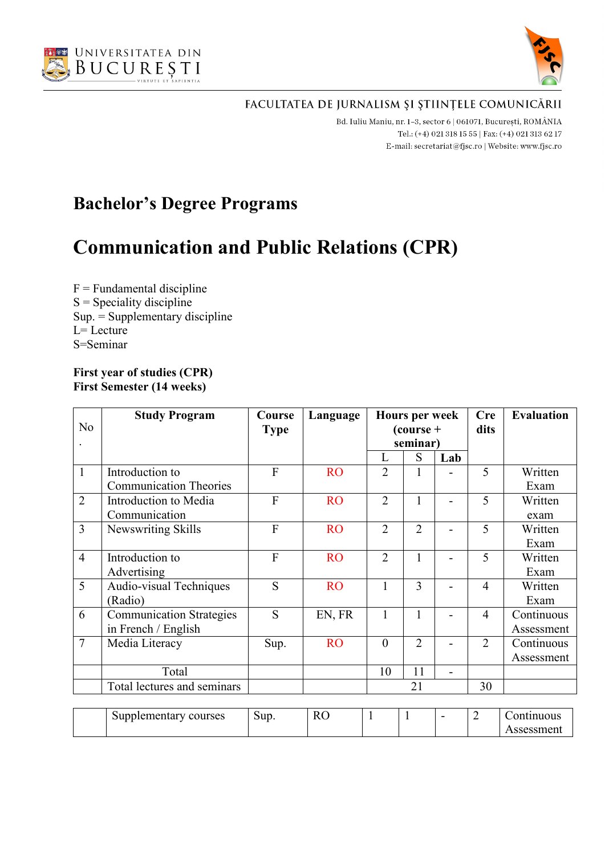



Bd. Iuliu Maniu, nr. 1-3, sector 6 | 061071, București, ROMÂNIA Tel.: (+4) 021 318 15 55 | Fax: (+4) 021 313 62 17 E-mail: secretariat@fjsc.ro | Website: www.fjsc.ro

# **Bachelor's Degree Programs**

# **Communication and Public Relations (CPR)**

 $F =$  Fundamental discipline  $S =$  Speciality discipline Sup. = Supplementary discipline L= Lecture S=Seminar

#### **First year of studies (CPR) First Semester (14 weeks)**

|                | <b>Study Program</b>          | Course         | Language  |                | <b>Hours per week</b>   |     | <b>Cre</b>     | <b>Evaluation</b> |
|----------------|-------------------------------|----------------|-----------|----------------|-------------------------|-----|----------------|-------------------|
| No             |                               | <b>Type</b>    |           |                | $\frac{1}{2}$ (course + |     | dits           |                   |
|                |                               |                |           |                | seminar)                |     |                |                   |
|                |                               |                |           | L              | S                       | Lab |                |                   |
| $\mathbf{1}$   | Introduction to               | $\mathbf{F}$   | <b>RO</b> | $\overline{2}$ |                         |     | 5              | Written           |
|                | <b>Communication Theories</b> |                |           |                |                         |     |                | Exam              |
| $\overline{2}$ | Introduction to Media         | $\overline{F}$ | <b>RO</b> | $\overline{2}$ |                         |     | 5              | Written           |
|                | Communication                 |                |           |                |                         |     |                | exam              |
| $\overline{3}$ | Newswriting Skills            | $\overline{F}$ | <b>RO</b> | $\overline{2}$ | $\overline{2}$          |     | 5              | Written           |
|                |                               |                |           |                |                         |     |                | Exam              |
| $\overline{4}$ | Introduction to               | $\overline{F}$ | <b>RO</b> | $\overline{2}$ |                         |     | 5              | Written           |
|                | Advertising                   |                |           |                |                         |     |                | Exam              |
| 5              | Audio-visual Techniques       | S              | <b>RO</b> |                | 3                       |     | $\overline{4}$ | Written           |
|                | (Radio)                       |                |           |                |                         |     |                | Exam              |
| 6              | Communication Strategies      | S              | EN, FR    | $\mathbf{1}$   |                         |     | $\overline{4}$ | Continuous        |
|                | in French / English           |                |           |                |                         |     |                | Assessment        |
| $\overline{7}$ | Media Literacy                | Sup.           | <b>RO</b> | $\mathbf{0}$   | $\overline{2}$          |     | $\overline{2}$ | Continuous        |
|                |                               |                |           |                |                         |     |                | Assessment        |
|                | Total                         |                |           | 10             | 11                      |     |                |                   |
|                | Total lectures and seminars   |                |           |                | 21                      |     | 30             |                   |
|                |                               |                |           |                |                         |     |                |                   |
|                | Supplementary courses         | Sup.           | RO        |                |                         |     | $\overline{2}$ | Continuous        |

| -<br>courses<br>$"$ 1149.49 $"$<br>aementary.<br>$\mathbf{v}$<br>∍∪ '<br>. . | -<br>Sup. | D.<br>ΛU | <b>.</b> |  | - | 1111010<br>~ *<br>uous |
|------------------------------------------------------------------------------|-----------|----------|----------|--|---|------------------------|
|                                                                              |           |          |          |  |   |                        |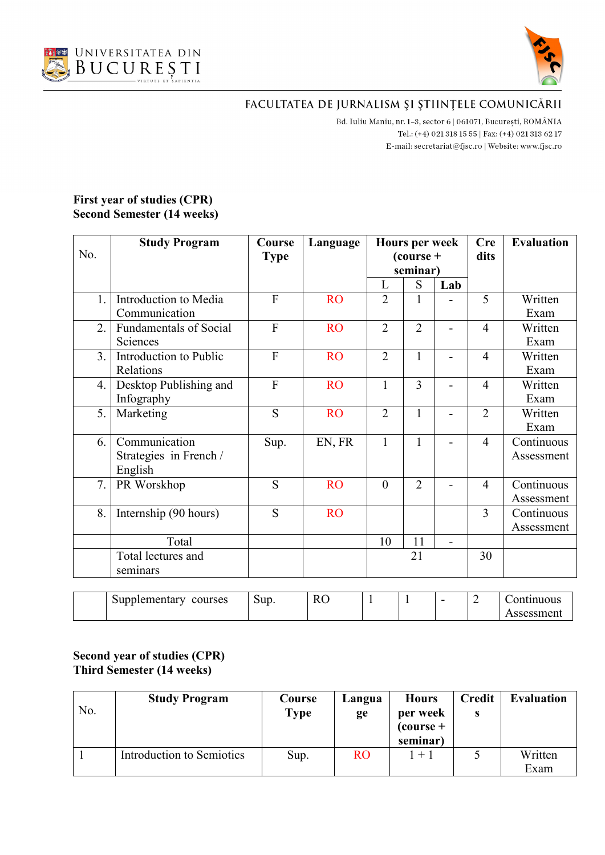



B<br/>d. Iuliu Maniu, nr. 1–3, sector 6 | 061071, București, ROMÂNIA Tel.: (+4) 021 318 15 55 | Fax: (+4) 021 313 62 17 E-mail:  $\texttt{secretariat@f}$ isc.ro | Website: www.fjsc.ro

#### **First year of studies (CPR) Second Semester (14 weeks)**

|                  | <b>Study Program</b>          | Course         | Language  | <b>Hours per week</b> |                         | <b>Cre</b>     | <b>Evaluation</b> |            |
|------------------|-------------------------------|----------------|-----------|-----------------------|-------------------------|----------------|-------------------|------------|
| No.              |                               | <b>Type</b>    |           |                       | $\frac{1}{2}$ (course + |                | dits              |            |
|                  |                               |                |           |                       | seminar)                |                |                   |            |
|                  |                               |                |           | L                     | S                       | Lab            |                   |            |
| 1.               | Introduction to Media         | $\overline{F}$ | <b>RO</b> | $\overline{2}$        | 1                       |                | 5                 | Written    |
|                  | Communication                 |                |           |                       |                         |                |                   | Exam       |
| $\overline{2}$ . | <b>Fundamentals of Social</b> | $\overline{F}$ | <b>RO</b> | $\overline{2}$        | $\overline{2}$          |                | $\overline{4}$    | Written    |
|                  | Sciences                      |                |           |                       |                         |                |                   | Exam       |
| 3.               | Introduction to Public        | $\overline{F}$ | <b>RO</b> | $\overline{2}$        | $\mathbf{1}$            |                | $\overline{4}$    | Written    |
|                  | Relations                     |                |           |                       |                         |                |                   | Exam       |
| 4.               | Desktop Publishing and        | $\overline{F}$ | <b>RO</b> | $\mathbf{1}$          | 3                       | $\blacksquare$ | $\overline{4}$    | Written    |
|                  | Infography                    |                |           |                       |                         |                |                   | Exam       |
| 5.               | Marketing                     | S              | <b>RO</b> | $\overline{2}$        | $\mathbf{1}$            |                | $\overline{2}$    | Written    |
|                  |                               |                |           |                       |                         |                |                   | Exam       |
| 6.               | Communication                 | Sup.           | EN, FR    | $\mathbf{1}$          | $\mathbf{1}$            |                | $\overline{4}$    | Continuous |
|                  | Strategies in French /        |                |           |                       |                         |                |                   | Assessment |
|                  | English                       |                |           |                       |                         |                |                   |            |
| 7.               | PR Worskhop                   | S              | <b>RO</b> | $\theta$              | $\overline{2}$          |                | $\overline{4}$    | Continuous |
|                  |                               |                |           |                       |                         |                |                   | Assessment |
| 8.               | Internship (90 hours)         | S              | <b>RO</b> |                       |                         |                | 3                 | Continuous |
|                  |                               |                |           |                       |                         |                |                   | Assessment |
|                  | Total                         |                |           | 10                    | 11                      | $\overline{a}$ |                   |            |
|                  | Total lectures and            |                |           |                       | 21                      |                | 30                |            |
|                  | seminars                      |                |           |                       |                         |                |                   |            |
|                  |                               |                |           |                       |                         |                |                   |            |
|                  | Supplementary courses         | Sup.           | <b>RO</b> | $\mathbf{1}$          | $\mathbf{1}$            |                | $\overline{2}$    | Continuous |
|                  |                               |                |           |                       |                         |                |                   | Assessment |

#### **Second year of studies (CPR) Third Semester (14 weeks)**

| No. | <b>Study Program</b>      | Course<br>Type | Langua<br>ge   | <b>Hours</b><br>per week<br>$\frac{1}{2}$ (course +<br>seminar) | <b>Credit</b><br>S | <b>Evaluation</b> |
|-----|---------------------------|----------------|----------------|-----------------------------------------------------------------|--------------------|-------------------|
|     | Introduction to Semiotics | Sup.           | R <sub>O</sub> | $+1$                                                            |                    | Written<br>Exam   |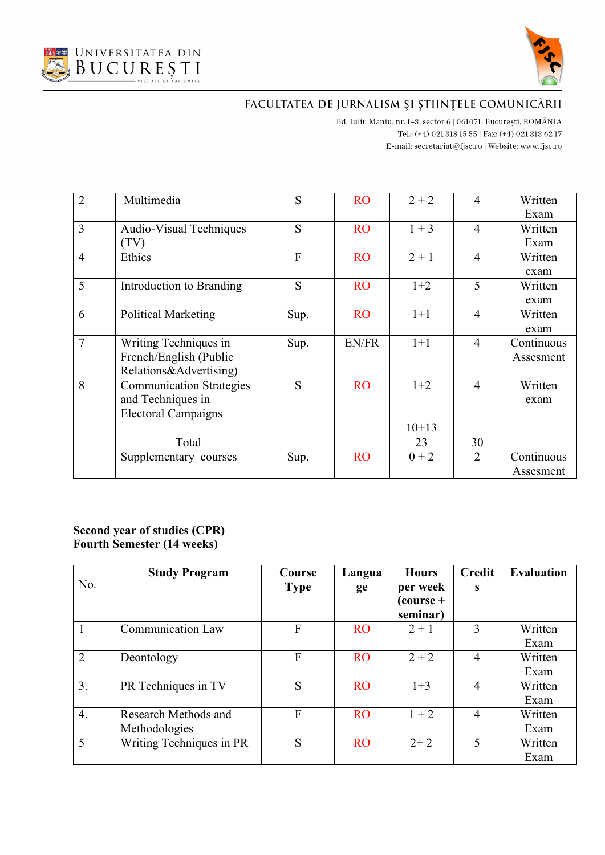



Bd. Iuliu Maniu, nr. 1-3, sector 6 | 061071, București, ROMÂNIA Tel.: (+4) 021 318 15 55 | Fax: (+4) 021 313 62 17 E-mail:  $\texttt{secretariat@f}$ isc.ro | Website: www.fjsc.ro

| $\overline{2}$ | Multimedia                      | S    | <b>RO</b> | $2 + 2$ | $\overline{4}$ | Written    |
|----------------|---------------------------------|------|-----------|---------|----------------|------------|
|                |                                 |      |           |         |                | Exam       |
| 3              | Audio-Visual Techniques         | S    | <b>RO</b> | $1 + 3$ | $\overline{4}$ | Written    |
|                | $\rm{TV}$                       |      |           |         |                | Exam       |
| 4              | Ethics                          | F    | <b>RO</b> | $2 + 1$ | $\overline{4}$ | Written    |
|                |                                 |      |           |         |                | exam       |
| 5              | Introduction to Branding        | S    | <b>RO</b> | $1+2$   | 5              | Written    |
|                |                                 |      |           |         |                | exam       |
| 6              | <b>Political Marketing</b>      | Sup. | <b>RO</b> | $1+1$   | $\overline{4}$ | Written    |
|                |                                 |      |           |         |                | exam       |
| $\overline{7}$ | Writing Techniques in           | Sup. | EN/FR     | $1+1$   | 4              | Continuous |
|                | French/English (Public          |      |           |         |                | Assesment  |
|                | Relations&Advertising)          |      |           |         |                |            |
| 8              | <b>Communication Strategies</b> | S    | <b>RO</b> | $1+2$   | $\overline{4}$ | Written    |
|                | and Techniques in               |      |           |         |                | exam       |
|                | <b>Electoral Campaigns</b>      |      |           |         |                |            |
|                |                                 |      |           | $10+13$ |                |            |
|                | Total                           |      |           | 23      | 30             |            |
|                | Supplementary courses           | Sup. | <b>RO</b> | $0 + 2$ | $\overline{2}$ | Continuous |
|                |                                 |      |           |         |                | Assesment  |

#### **Second year of studies (CPR) Fourth Semester (14 weeks)**

|                | <b>Study Program</b>     | Course      | Langua    | <b>Hours</b>            | Credit         | <b>Evaluation</b> |
|----------------|--------------------------|-------------|-----------|-------------------------|----------------|-------------------|
| No.            |                          | <b>Type</b> | ge        | per week                | S              |                   |
|                |                          |             |           | $\frac{1}{2}$ (course + |                |                   |
|                |                          |             |           | seminar)                |                |                   |
|                | <b>Communication Law</b> | F           | <b>RO</b> | $2 + 1$                 | 3              | Written           |
|                |                          |             |           |                         |                | Exam              |
| $\overline{2}$ | Deontology               | F           | <b>RO</b> | $2 + 2$                 | 4              | Written           |
|                |                          |             |           |                         |                | Exam              |
| 3.             | PR Techniques in TV      | S           | <b>RO</b> | $1+3$                   | 4              | Written           |
|                |                          |             |           |                         |                | Exam              |
| 4.             | Research Methods and     | F           | <b>RO</b> | $1 + 2$                 | $\overline{4}$ | Written           |
|                | Methodologies            |             |           |                         |                | Exam              |
| 5              | Writing Techniques in PR | S           | <b>RO</b> | $2+2$                   | 5              | Written           |
|                |                          |             |           |                         |                | Exam              |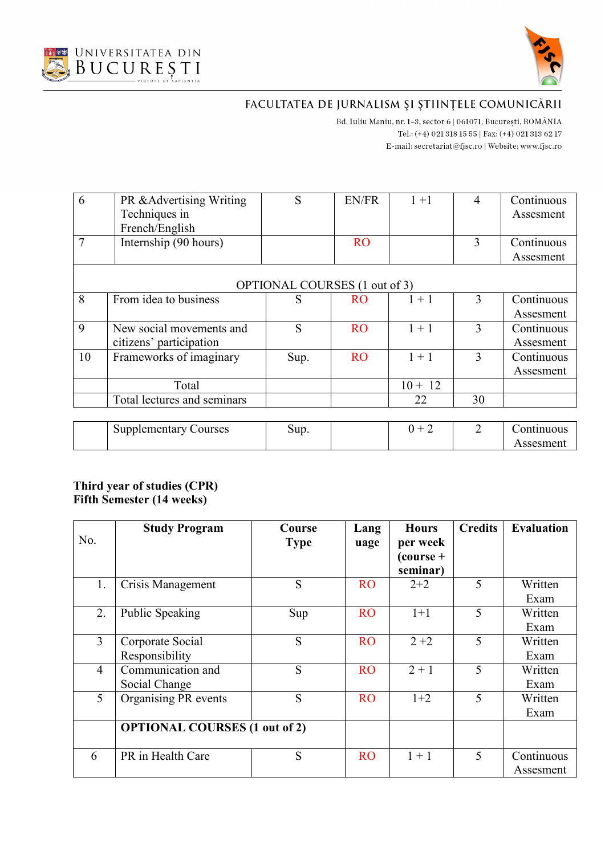



Assesment

# FACULTATEA DE JURNALISM ȘI ȘTIINȚELE COMUNICĂRII

Bd. Iuliu Maniu, nr. 1-3, sector 6 | 061071, București, ROMÂNIA Tel.: (+4) 021 318 15 55 | Fax: (+4) 021 313 62 17 E-mail:  $\texttt{secretariat@f}$ isc.ro | Website: www.fjsc.ro

| 6                             | PR & Advertising Writing     | S    | EN/FR     | $1 + 1$   | $\overline{4}$ | Continuous |  |  |  |
|-------------------------------|------------------------------|------|-----------|-----------|----------------|------------|--|--|--|
|                               | Techniques in                |      |           |           |                | Assesment  |  |  |  |
|                               | French/English               |      |           |           |                |            |  |  |  |
| 7                             | Internship (90 hours)        |      | RO        |           | 3              | Continuous |  |  |  |
|                               |                              |      |           |           |                | Assesment  |  |  |  |
|                               |                              |      |           |           |                |            |  |  |  |
| OPTIONAL COURSES (1 out of 3) |                              |      |           |           |                |            |  |  |  |
| 8                             | From idea to business        | S    | <b>RO</b> | $1 + 1$   | 3              | Continuous |  |  |  |
|                               |                              |      |           |           |                | Assesment  |  |  |  |
| 9                             | New social movements and     | S    | <b>RO</b> | $1 + 1$   | 3              | Continuous |  |  |  |
|                               | citizens' participation      |      |           |           |                | Assesment  |  |  |  |
| 10                            | Frameworks of imaginary      | Sup. | <b>RO</b> | $1 + 1$   | 3              | Continuous |  |  |  |
|                               |                              |      |           |           |                | Assesment  |  |  |  |
|                               | Total                        |      |           | $10 + 12$ |                |            |  |  |  |
|                               | Total lectures and seminars  |      |           | 22        | 30             |            |  |  |  |
|                               |                              |      |           |           |                |            |  |  |  |
|                               | <b>Supplementary Courses</b> | Sup. |           | $0 + 2$   | $\overline{2}$ | Continuous |  |  |  |

# **Third year of studies (CPR) Fifth Semester (14 weeks)**

| No.            | <b>Study Program</b>                 | Course<br><b>Type</b> | Lang<br>uage | <b>Hours</b><br>per week | <b>Credits</b> | <b>Evaluation</b> |
|----------------|--------------------------------------|-----------------------|--------------|--------------------------|----------------|-------------------|
|                |                                      |                       |              | $\frac{1}{2}$ (course +  |                |                   |
|                |                                      |                       |              | seminar)                 |                |                   |
| 1.             | Crisis Management                    | S                     | <b>RO</b>    | $2+2$                    | 5              | Written           |
|                |                                      |                       |              |                          |                | Exam              |
| 2.             | Public Speaking                      | Sup                   | <b>RO</b>    | $1+1$                    | 5              | Written           |
|                |                                      |                       |              |                          |                | Exam              |
| $\overline{3}$ | Corporate Social                     | S                     | <b>RO</b>    | $2 + 2$                  | 5              | Written           |
|                | Responsibility                       |                       |              |                          |                | Exam              |
| $\overline{4}$ | Communication and                    | S                     | <b>RO</b>    | $2 + 1$                  | 5              | Written           |
|                | Social Change                        |                       |              |                          |                | Exam              |
| 5              | Organising PR events                 | S                     | <b>RO</b>    | $1+2$                    | 5              | Written           |
|                |                                      |                       |              |                          |                | Exam              |
|                | <b>OPTIONAL COURSES (1 out of 2)</b> |                       |              |                          |                |                   |
| 6              | PR in Health Care                    | S                     | <b>RO</b>    | $1 + 1$                  | 5              | Continuous        |
|                |                                      |                       |              |                          |                | Assesment         |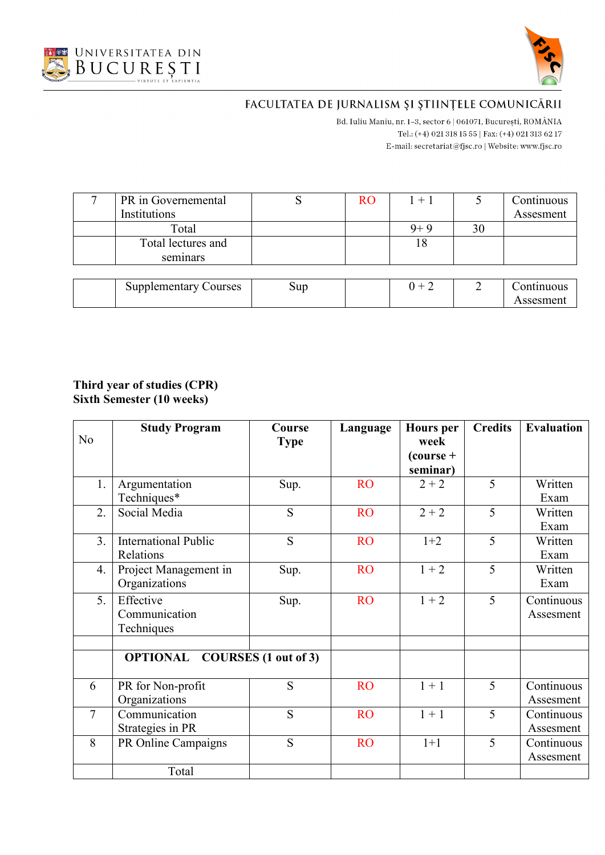



Bd. Iuliu Maniu, nr. 1-3, sector 6 | 061071, București, ROMÂNIA Tel.: (+4) 021 318 15 55 | Fax: (+4) 021 313 62 17 E-mail:  $\texttt{secretariat@f}$ isc.ro | Website: www.fjsc.ro

| PR in Governemental          |     | RO. | $1 + 1$ |               | Continuous |
|------------------------------|-----|-----|---------|---------------|------------|
| Institutions                 |     |     |         |               | Assesment  |
| Total                        |     |     | $9 + 9$ | 30            |            |
| Total lectures and           |     |     | 18      |               |            |
| seminars                     |     |     |         |               |            |
|                              |     |     |         |               |            |
| <b>Supplementary Courses</b> | Sup |     | $0 + 2$ | $\mathcal{D}$ | Continuous |
|                              |     |     |         |               | Assesment  |

### **Third year of studies (CPR) Sixth Semester (10 weeks)**

|                | <b>Study Program</b>        | Course               | Language  | <b>Hours</b> per        | <b>Credits</b> | <b>Evaluation</b> |
|----------------|-----------------------------|----------------------|-----------|-------------------------|----------------|-------------------|
| N <sub>o</sub> |                             | <b>Type</b>          |           | week                    |                |                   |
|                |                             |                      |           | $\frac{1}{2}$ (course + |                |                   |
|                |                             |                      |           | seminar)                |                |                   |
| 1.             | Argumentation               | Sup.                 | <b>RO</b> | $2 + 2$                 | 5              | Written           |
|                | Techniques*                 |                      |           |                         |                | Exam              |
| 2.             | Social Media                | S                    | <b>RO</b> | $2 + 2$                 | 5              | Written           |
|                |                             |                      |           |                         |                | Exam              |
| 3.             | <b>International Public</b> | S                    | <b>RO</b> | $1+2$                   | 5              | Written           |
|                | Relations                   |                      |           |                         |                | Exam              |
| 4.             | Project Management in       | Sup.                 | <b>RO</b> | $1 + 2$                 | 5              | Written           |
|                | Organizations               |                      |           |                         |                | Exam              |
| 5.             | Effective                   | Sup.                 | <b>RO</b> | $1 + 2$                 | 5              | Continuous        |
|                | Communication               |                      |           |                         |                | Assesment         |
|                | Techniques                  |                      |           |                         |                |                   |
|                |                             |                      |           |                         |                |                   |
|                | <b>OPTIONAL</b>             | COURSES (1 out of 3) |           |                         |                |                   |
| 6              | PR for Non-profit           | S                    | <b>RO</b> | $1 + 1$                 | 5              | Continuous        |
|                | Organizations               |                      |           |                         |                | Assesment         |
| $\overline{7}$ | Communication               | S                    | <b>RO</b> | $1 + 1$                 | 5              | Continuous        |
|                | Strategies in PR            |                      |           |                         |                | Assesment         |
| 8              |                             | S                    | <b>RO</b> | $1+1$                   | 5              |                   |
|                | PR Online Campaigns         |                      |           |                         |                | Continuous        |
|                |                             |                      |           |                         |                | Assesment         |
|                | Total                       |                      |           |                         |                |                   |